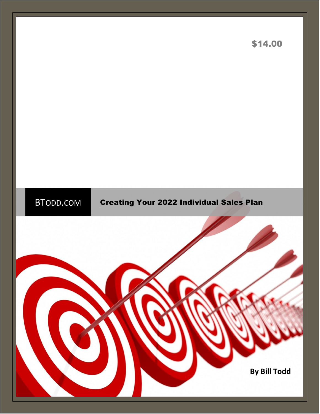

\$14.00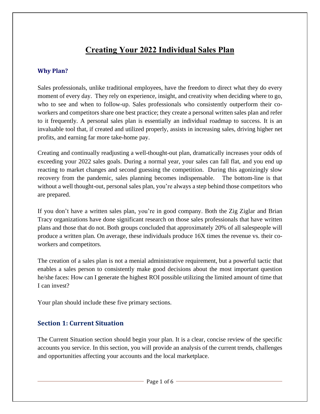# **Creating Your 2022 Individual Sales Plan**

## **Why Plan?**

Sales professionals, unlike traditional employees, have the freedom to direct what they do every moment of every day. They rely on experience, insight, and creativity when deciding where to go, who to see and when to follow-up. Sales professionals who consistently outperform their coworkers and competitors share one best practice; they create a personal written sales plan and refer to it frequently. A personal sales plan is essentially an individual roadmap to success. It is an invaluable tool that, if created and utilized properly, assists in increasing sales, driving higher net profits, and earning far more take-home pay.

Creating and continually readjusting a well-thought-out plan, dramatically increases your odds of exceeding your 2022 sales goals. During a normal year, your sales can fall flat, and you end up reacting to market changes and second guessing the competition. During this agonizingly slow recovery from the pandemic, sales planning becomes indispensable. The bottom-line is that without a well thought-out, personal sales plan, you're always a step behind those competitors who are prepared.

If you don't have a written sales plan, you're in good company. Both the Zig Ziglar and Brian Tracy organizations have done significant research on those sales professionals that have written plans and those that do not. Both groups concluded that approximately 20% of all salespeople will produce a written plan. On average, these individuals produce 16X times the revenue vs. their coworkers and competitors.

The creation of a sales plan is not a menial administrative requirement, but a powerful tactic that enables a sales person to consistently make good decisions about the most important question he/she faces: How can I generate the highest ROI possible utilizing the limited amount of time that I can invest?

Your plan should include these five primary sections.

## **Section 1: Current Situation**

The Current Situation section should begin your plan. It is a clear, concise review of the specific accounts you service. In this section, you will provide an analysis of the current trends, challenges and opportunities affecting your accounts and the local marketplace.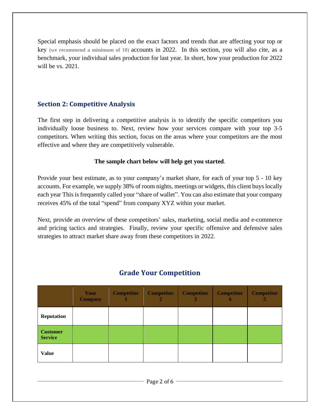Special emphasis should be placed on the exact factors and trends that are affecting your top or key **(we recommend a minimum of 10)** accounts in 2022. In this section, you will also cite, as a benchmark, your individual sales production for last year. In short, how your production for 2022 will be vs. 2021.

## **Section 2: Competitive Analysis**

The first step in delivering a competitive analysis is to identify the specific competitors you individually loose business to. Next, review how your services compare with your top 3-5 competitors. When writing this section, focus on the areas where your competitors are the most effective and where they are competitively vulnerable.

#### **The sample chart below will help get you started**.

Provide your best estimate, as to your company's market share, for each of your top 5 - 10 key accounts. For example, we supply 38% of room nights, meetings or widgets, this client buys locally each year This is frequently called your "share of wallet". You can also estimate that your company receives 45% of the total "spend" from company XYZ within your market.

Next, provide an overview of these competitors' sales, marketing, social media and e-commerce and pricing tactics and strategies. Finally, review your specific offensive and defensive sales strategies to attract market share away from these competitors in 2022.

|                                   | Your<br><b>Company</b> | <b>Competitor</b> | <b>Competitor</b><br>2 | <b>Competitor</b><br>3 | <b>Competitor</b><br>4 | <b>Competitor</b><br>5 |
|-----------------------------------|------------------------|-------------------|------------------------|------------------------|------------------------|------------------------|
| <b>Reputation</b>                 |                        |                   |                        |                        |                        |                        |
| <b>Customer</b><br><b>Service</b> |                        |                   |                        |                        |                        |                        |
| <b>Value</b>                      |                        |                   |                        |                        |                        |                        |

# **Grade Your Competition**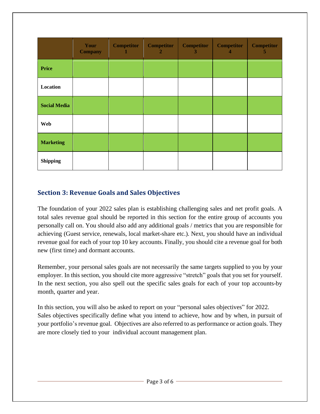|                     | Your<br><b>Company</b> | <b>Competitor</b> | <b>Competitor</b><br>$\overline{2}$ | <b>Competitor</b><br>3 | <b>Competitor</b><br>4 | <b>Competitor</b><br>5 |
|---------------------|------------------------|-------------------|-------------------------------------|------------------------|------------------------|------------------------|
| <b>Price</b>        |                        |                   |                                     |                        |                        |                        |
| Location            |                        |                   |                                     |                        |                        |                        |
| <b>Social Media</b> |                        |                   |                                     |                        |                        |                        |
| <b>Web</b>          |                        |                   |                                     |                        |                        |                        |
| <b>Marketing</b>    |                        |                   |                                     |                        |                        |                        |
| <b>Shipping</b>     |                        |                   |                                     |                        |                        |                        |

# **Section 3: Revenue Goals and Sales Objectives**

The foundation of your 2022 sales plan is establishing challenging sales and net profit goals. A total sales revenue goal should be reported in this section for the entire group of accounts you personally call on. You should also add any additional goals / metrics that you are responsible for achieving (Guest service, renewals, local market-share etc.). Next, you should have an individual revenue goal for each of your top 10 key accounts. Finally, you should cite a revenue goal for both new (first time) and dormant accounts.

Remember, your personal sales goals are not necessarily the same targets supplied to you by your employer. In this section, you should cite more aggressive "stretch" goals that you set for yourself. In the next section, you also spell out the specific sales goals for each of your top accounts-by month, quarter and year.

In this section, you will also be asked to report on your "personal sales objectives" for 2022. Sales objectives specifically define what you intend to achieve, how and by when, in pursuit of your portfolio's revenue goal. Objectives are also referred to as performance or action goals. They are more closely tied to your individual account management plan.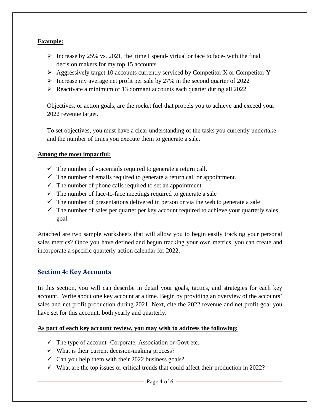### **Example:**

- $\triangleright$  Increase by 25% vs. 2021, the time I spend- virtual or face to face- with the final decision makers for my top 15 accounts
- $\triangleright$  Aggressively target 10 accounts currently serviced by Competitor X or Competitor Y
- $\triangleright$  Increase my average net profit per sale by 27% in the second quarter of 2022
- ➢ Reactivate a minimum of 13 dormant accounts each quarter during all 2022

Objectives, or action goals, are the rocket fuel that propels you to achieve and exceed your 2022 revenue target.

To set objectives, you must have a clear understanding of the tasks you currently undertake and the number of times you execute them to generate a sale.

#### **Among the most impactful:**

- $\checkmark$  The number of voicemails required to generate a return call.
- $\checkmark$  The number of emails required to generate a return call or appointment.
- $\checkmark$  The number of phone calls required to set an appointment
- $\checkmark$  The number of face-to-face meetings required to generate a sale
- $\checkmark$  The number of presentations delivered in person or via the web to generate a sale
- $\checkmark$  The number of sales per quarter per key account required to achieve your quarterly sales goal.

Attached are two sample worksheets that will allow you to begin easily tracking your personal sales metrics? Once you have defined and begun tracking your own metrics, you can create and incorporate a specific quarterly action calendar for 2022.

## **Section 4: Key Accounts**

In this section, you will can describe in detail your goals, tactics, and strategies for each key account. Write about one key account at a time. Begin by providing an overview of the accounts' sales and net profit production during 2021. Next, cite the 2022 revenue and net profit goal you have set for this account, both yearly and quarterly.

#### **As part of each key account review, you may wish to address the following:**

- $\checkmark$  The type of account- Corporate, Association or Govt etc.
- $\checkmark$  What is their current decision-making process?
- $\checkmark$  Can you help them with their 2022 business goals?
- $\checkmark$  What are the top issues or critical trends that could affect their production in 2022?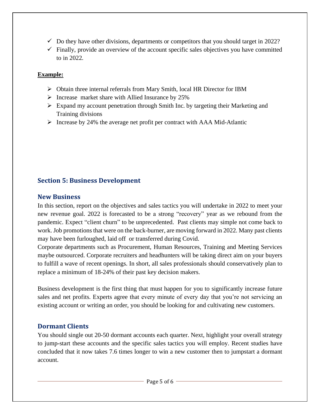- $\checkmark$  Do they have other divisions, departments or competitors that you should target in 2022?
- $\checkmark$  Finally, provide an overview of the account specific sales objectives you have committed to in 2022.

## **Example:**

- ➢ Obtain three internal referrals from Mary Smith, local HR Director for IBM
- ➢ Increase market share with Allied Insurance by 25%
- ➢ Expand my account penetration through Smith Inc. by targeting their Marketing and Training divisions
- ➢ Increase by 24% the average net profit per contract with AAA Mid-Atlantic

# **Section 5: Business Development**

## **New Business**

In this section, report on the objectives and sales tactics you will undertake in 2022 to meet your new revenue goal. 2022 is forecasted to be a strong "recovery" year as we rebound from the pandemic. Expect "client churn" to be unprecedented. Past clients may simple not come back to work. Job promotions that were on the back-burner, are moving forward in 2022. Many past clients may have been furloughed, laid off or transferred during Covid.

Corporate departments such as Procurement, Human Resources, Training and Meeting Services maybe outsourced. Corporate recruiters and headhunters will be taking direct aim on your buyers to fulfill a wave of recent openings. In short, all sales professionals should conservatively plan to replace a minimum of 18-24% of their past key decision makers.

Business development is the first thing that must happen for you to significantly increase future sales and net profits. Experts agree that every minute of every day that you're not servicing an existing account or writing an order, you should be looking for and cultivating new customers.

## **Dormant Clients**

You should single out 20-50 dormant accounts each quarter. Next, highlight your overall strategy to jump-start these accounts and the specific sales tactics you will employ. Recent studies have concluded that it now takes 7.6 times longer to win a new customer then to jumpstart a dormant account.